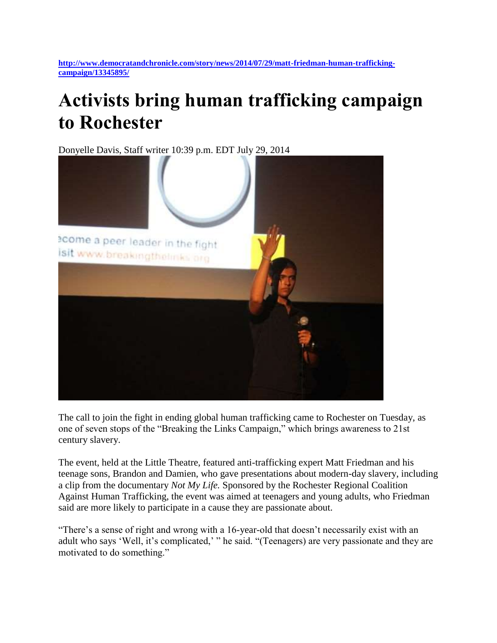## **Activists bring human trafficking campaign to Rochester**

Donyelle Davis, Staff writer 10:39 p.m. EDT July 29, 2014



The call to join the fight in ending global human trafficking came to Rochester on Tuesday, as one of seven stops of the "Breaking the Links Campaign," which brings awareness to 21st century slavery.

The event, held at the Little Theatre, featured anti-trafficking expert Matt Friedman and his teenage sons, Brandon and Damien, who gave presentations about modern-day slavery, including a clip from the documentary *Not My Life.* Sponsored by the Rochester Regional Coalition Against Human Trafficking, the event was aimed at teenagers and young adults, who Friedman said are more likely to participate in a cause they are passionate about.

"There's a sense of right and wrong with a 16-year-old that doesn't necessarily exist with an adult who says 'Well, it's complicated,' " he said. "(Teenagers) are very passionate and they are motivated to do something."